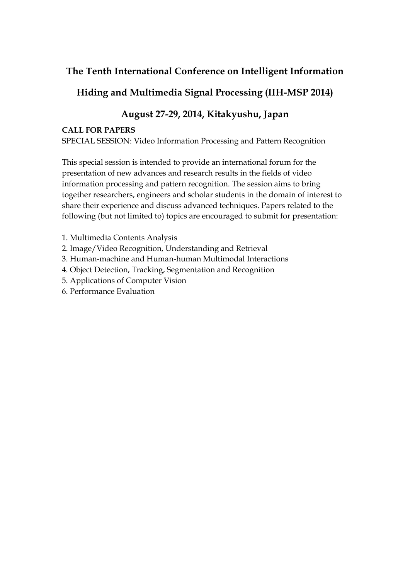### **The Tenth International Conference on Intelligent Information**

## **Hiding and Multimedia Signal Processing (IIH-MSP 2014)**

# **August 27-29, 2014, Kitakyushu, Japan**

### **CALL FOR PAPERS**

SPECIAL SESSION: [Video Information Processing and Pattern Recognition](http://www.bjut.edu.cn/college/dzxxkz/iihmsp13/docx/Special_Sessions-JIA.pdf)

This special session is intended to provide an international forum for the presentation of new advances and research results in the fields of video information processing and pattern recognition. The session aims to bring together researchers, engineers and scholar students in the domain of interest to share their experience and discuss advanced techniques. Papers related to the following (but not limited to) topics are encouraged to submit for presentation:

- 1. Multimedia Contents Analysis
- 2. Image/Video Recognition, Understanding and Retrieval
- 3. Human-machine and Human-human Multimodal Interactions
- 4. Object Detection, Tracking, Segmentation and Recognition
- 5. Applications of Computer Vision
- 6. Performance Evaluation